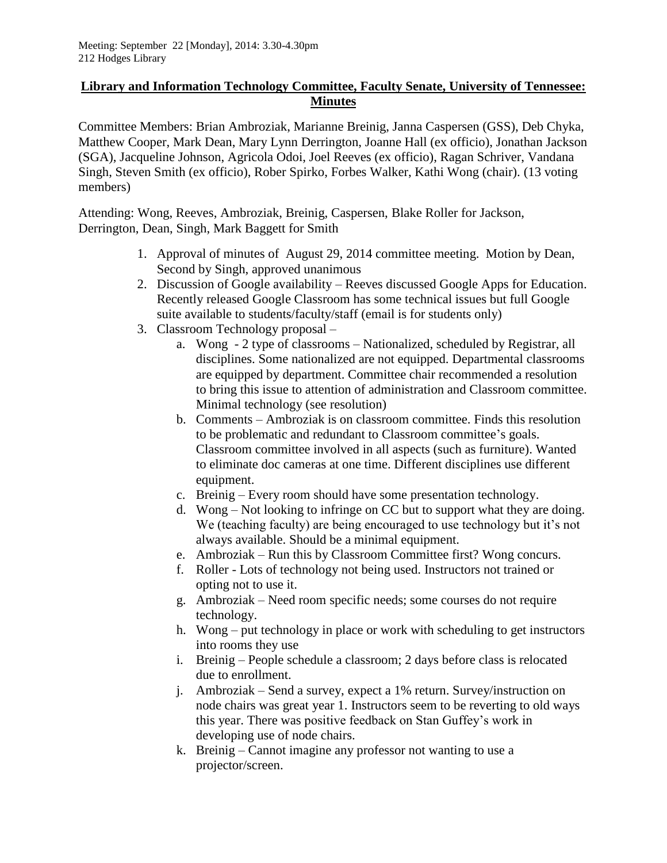## **Library and Information Technology Committee, Faculty Senate, University of Tennessee: Minutes**

Committee Members: Brian Ambroziak, Marianne Breinig, Janna Caspersen (GSS), Deb Chyka, Matthew Cooper, Mark Dean, Mary Lynn Derrington, Joanne Hall (ex officio), Jonathan Jackson (SGA), Jacqueline Johnson, Agricola Odoi, Joel Reeves (ex officio), Ragan Schriver, Vandana Singh, Steven Smith (ex officio), Rober Spirko, Forbes Walker, Kathi Wong (chair). (13 voting members)

Attending: Wong, Reeves, Ambroziak, Breinig, Caspersen, Blake Roller for Jackson, Derrington, Dean, Singh, Mark Baggett for Smith

- 1. Approval of minutes of August 29, 2014 committee meeting. Motion by Dean, Second by Singh, approved unanimous
- 2. Discussion of Google availability Reeves discussed Google Apps for Education. Recently released Google Classroom has some technical issues but full Google suite available to students/faculty/staff (email is for students only)
- 3. Classroom Technology proposal
	- a. Wong 2 type of classrooms Nationalized, scheduled by Registrar, all disciplines. Some nationalized are not equipped. Departmental classrooms are equipped by department. Committee chair recommended a resolution to bring this issue to attention of administration and Classroom committee. Minimal technology (see resolution)
	- b. Comments Ambroziak is on classroom committee. Finds this resolution to be problematic and redundant to Classroom committee's goals. Classroom committee involved in all aspects (such as furniture). Wanted to eliminate doc cameras at one time. Different disciplines use different equipment.
	- c. Breinig Every room should have some presentation technology.
	- d. Wong Not looking to infringe on CC but to support what they are doing. We (teaching faculty) are being encouraged to use technology but it's not always available. Should be a minimal equipment.
	- e. Ambroziak Run this by Classroom Committee first? Wong concurs.
	- f. Roller Lots of technology not being used. Instructors not trained or opting not to use it.
	- g. Ambroziak Need room specific needs; some courses do not require technology.
	- h. Wong put technology in place or work with scheduling to get instructors into rooms they use
	- i. Breinig People schedule a classroom; 2 days before class is relocated due to enrollment.
	- j. Ambroziak Send a survey, expect a 1% return. Survey/instruction on node chairs was great year 1. Instructors seem to be reverting to old ways this year. There was positive feedback on Stan Guffey's work in developing use of node chairs.
	- k. Breinig Cannot imagine any professor not wanting to use a projector/screen.